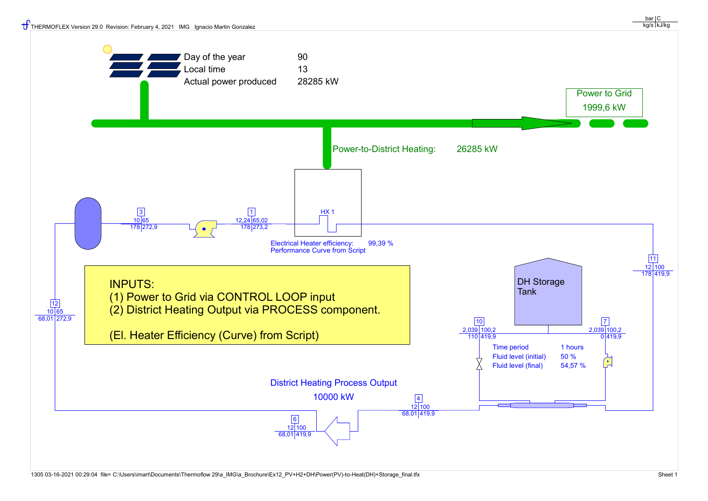